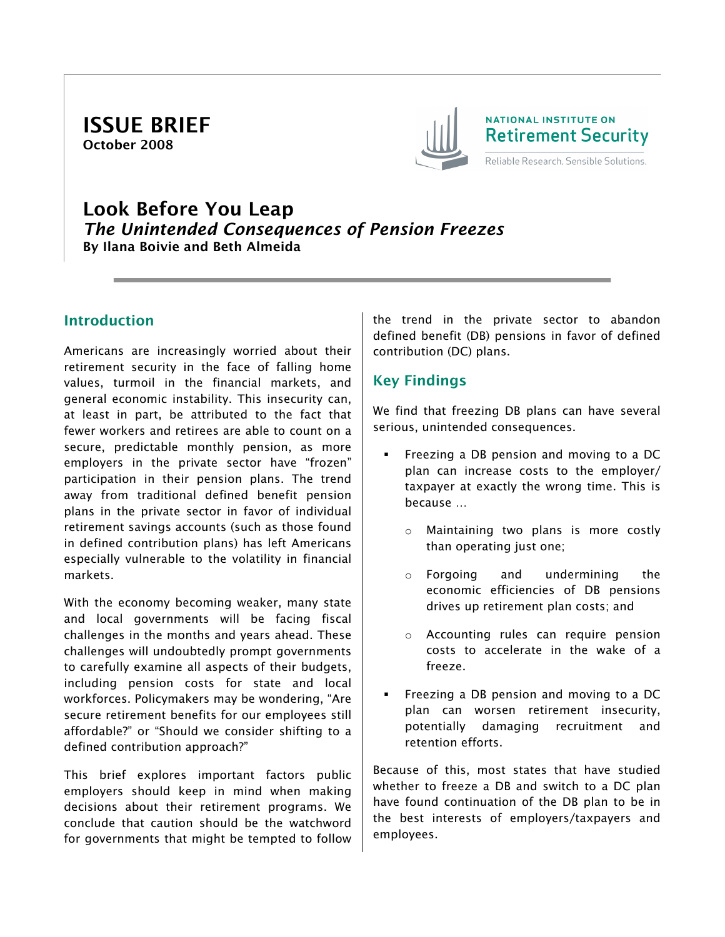ISSUE BRIEF October 2008



# Look Before You Leap *The Unintended Consequences of Pension Freezes* By Ilana Boivie and Beth Almeida

## **Introduction**

Americans are increasingly worried about their retirement security in the face of falling home values, turmoil in the financial markets, and general economic instability. This insecurity can, at least in part, be attributed to the fact that fewer workers and retirees are able to count on a secure, predictable monthly pension, as more employers in the private sector have "frozen" participation in their pension plans. The trend away from traditional defined benefit pension plans in the private sector in favor of individual retirement savings accounts (such as those found in defined contribution plans) has left Americans especially vulnerable to the volatility in financial markets.

With the economy becoming weaker, many state and local governments will be facing fiscal challenges in the months and years ahead. These challenges will undoubtedly prompt governments to carefully examine all aspects of their budgets, including pension costs for state and local workforces. Policymakers may be wondering, "Are secure retirement benefits for our employees still affordable?" or "Should we consider shifting to a defined contribution approach?"

This brief explores important factors public employers should keep in mind when making decisions about their retirement programs. We conclude that caution should be the watchword for governments that might be tempted to follow the trend in the private sector to abandon defined benefit (DB) pensions in favor of defined contribution (DC) plans.

# Key Findings

We find that freezing DB plans can have several serious, unintended consequences.

- Freezing a DB pension and moving to a DC plan can increase costs to the employer/ taxpayer at exactly the wrong time. This is because …
	- o Maintaining two plans is more costly than operating just one;
	- o Forgoing and undermining the economic efficiencies of DB pensions drives up retirement plan costs; and
	- o Accounting rules can require pension costs to accelerate in the wake of a freeze.
- Freezing a DB pension and moving to a DC plan can worsen retirement insecurity, potentially damaging recruitment and retention efforts.

Because of this, most states that have studied whether to freeze a DB and switch to a DC plan have found continuation of the DB plan to be in the best interests of employers/taxpayers and employees.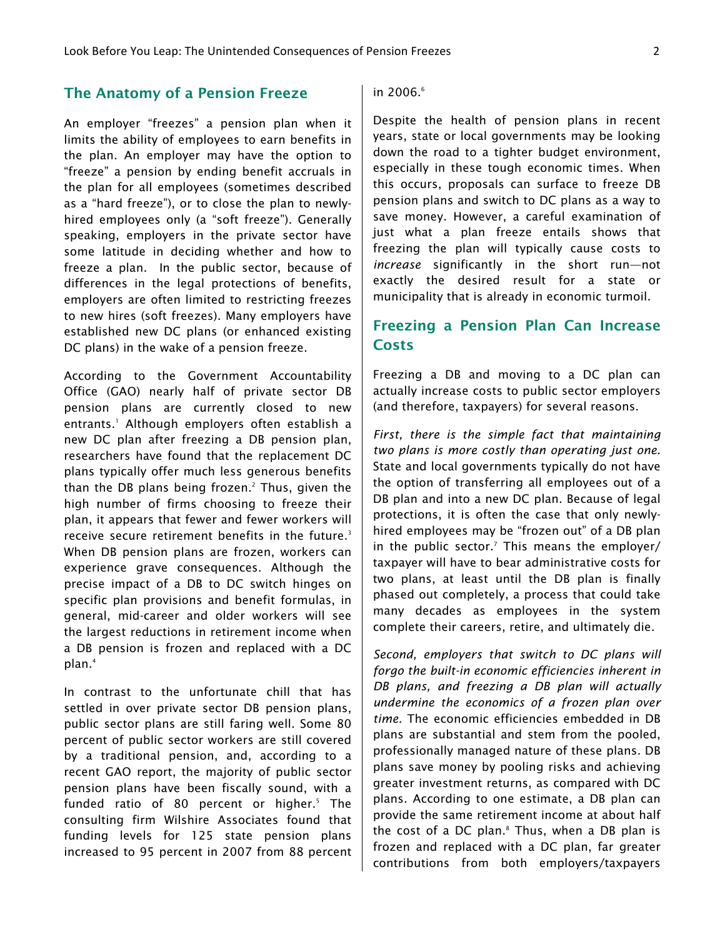#### The Anatomy of a Pension Freeze

An employer "freezes" a pension plan when it limits the ability of employees to earn benefits in the plan. An employer may have the option to "freeze" a pension by ending benefit accruals in the plan for all employees (sometimes described as a "hard freeze"), or to close the plan to newlyhired employees only (a "soft freeze"). Generally speaking, employers in the private sector have some latitude in deciding whether and how to freeze a plan. In the public sector, because of differences in the legal protections of benefits, employers are often limited to restricting freezes to new hires (soft freezes). Many employers have established new DC plans (or enhanced existing DC plans) in the wake of a pension freeze.

According to the Government Accountability Office (GAO) nearly half of private sector DB pension plans are currently closed to new entrants.1 Although employers often establish a new DC plan after freezing a DB pension plan, researchers have found that the replacement DC plans typically offer much less generous benefits than the DB plans being frozen.<sup>2</sup> Thus, given the high number of firms choosing to freeze their plan, it appears that fewer and fewer workers will receive secure retirement benefits in the future.<sup>3</sup> When DB pension plans are frozen, workers can experience grave consequences. Although the precise impact of a DB to DC switch hinges on specific plan provisions and benefit formulas, in general, mid-career and older workers will see the largest reductions in retirement income when a DB pension is frozen and replaced with a DC plan.4

In contrast to the unfortunate chill that has settled in over private sector DB pension plans, public sector plans are still faring well. Some 80 percent of public sector workers are still covered by a traditional pension, and, according to a recent GAO report, the majority of public sector pension plans have been fiscally sound, with a funded ratio of 80 percent or higher.<sup>5</sup> The consulting firm Wilshire Associates found that funding levels for 125 state pension plans increased to 95 percent in 2007 from 88 percent

in 2006.<sup>6</sup>

Despite the health of pension plans in recent years, state or local governments may be looking down the road to a tighter budget environment, especially in these tough economic times. When this occurs, proposals can surface to freeze DB pension plans and switch to DC plans as a way to save money. However, a careful examination of just what a plan freeze entails shows that freezing the plan will typically cause costs to *increase* significantly in the short run—not exactly the desired result for a state or municipality that is already in economic turmoil.

## Freezing a Pension Plan Can Increase **Costs**

Freezing a DB and moving to a DC plan can actually increase costs to public sector employers (and therefore, taxpayers) for several reasons.

*First, there is the simple fact that maintaining two plans is more costly than operating just one.* State and local governments typically do not have the option of transferring all employees out of a DB plan and into a new DC plan. Because of legal protections, it is often the case that only newlyhired employees may be "frozen out" of a DB plan in the public sector.<sup>7</sup> This means the employer/ taxpayer will have to bear administrative costs for two plans, at least until the DB plan is finally phased out completely, a process that could take many decades as employees in the system complete their careers, retire, and ultimately die.

*Second, employers that switch to DC plans will forgo the built-in economic efficiencies inherent in DB plans, and freezing a DB plan will actually undermine the economics of a frozen plan over time.* The economic efficiencies embedded in DB plans are substantial and stem from the pooled, professionally managed nature of these plans. DB plans save money by pooling risks and achieving greater investment returns, as compared with DC plans. According to one estimate, a DB plan can provide the same retirement income at about half the cost of a DC plan.<sup>8</sup> Thus, when a DB plan is frozen and replaced with a DC plan, far greater contributions from both employers/taxpayers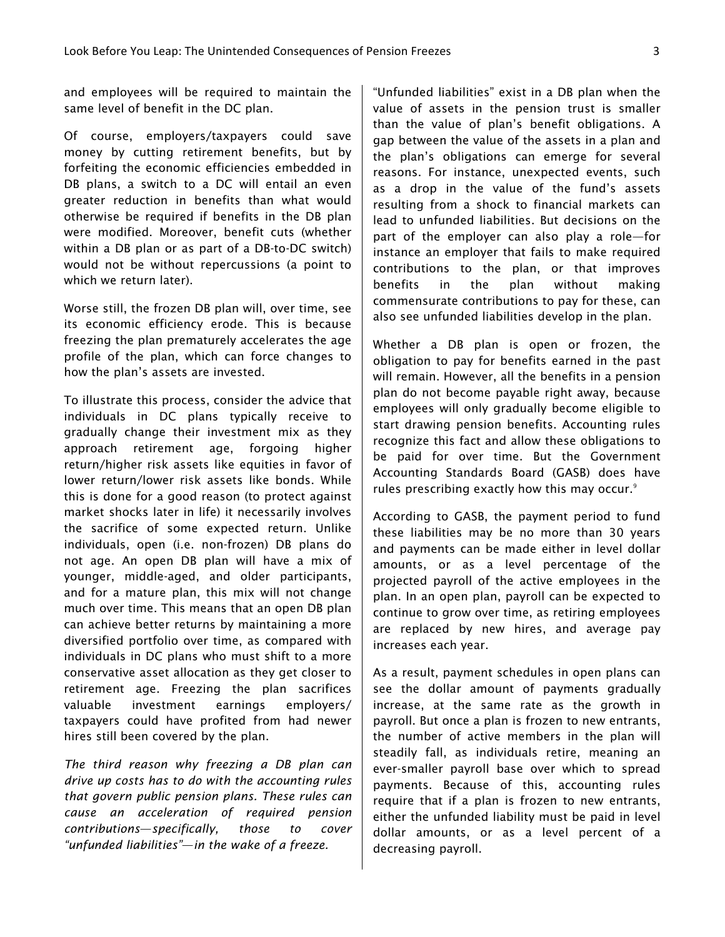and employees will be required to maintain the same level of benefit in the DC plan.

Of course, employers/taxpayers could save money by cutting retirement benefits, but by forfeiting the economic efficiencies embedded in DB plans, a switch to a DC will entail an even greater reduction in benefits than what would otherwise be required if benefits in the DB plan were modified. Moreover, benefit cuts (whether within a DB plan or as part of a DB-to-DC switch) would not be without repercussions (a point to which we return later).

Worse still, the frozen DB plan will, over time, see its economic efficiency erode. This is because freezing the plan prematurely accelerates the age profile of the plan, which can force changes to how the plan's assets are invested.

To illustrate this process, consider the advice that individuals in DC plans typically receive to gradually change their investment mix as they approach retirement age, forgoing higher return/higher risk assets like equities in favor of lower return/lower risk assets like bonds. While this is done for a good reason (to protect against market shocks later in life) it necessarily involves the sacrifice of some expected return. Unlike individuals, open (i.e. non-frozen) DB plans do not age. An open DB plan will have a mix of younger, middle-aged, and older participants, and for a mature plan, this mix will not change much over time. This means that an open DB plan can achieve better returns by maintaining a more diversified portfolio over time, as compared with individuals in DC plans who must shift to a more conservative asset allocation as they get closer to retirement age. Freezing the plan sacrifices valuable investment earnings employers/ taxpayers could have profited from had newer hires still been covered by the plan.

*The third reason why freezing a DB plan can drive up costs has to do with the accounting rules that govern public pension plans. These rules can cause an acceleration of required pension contributions*—*specifically, those to cover "unfunded liabilities"*—*in the wake of a freeze.* 

"Unfunded liabilities" exist in a DB plan when the value of assets in the pension trust is smaller than the value of plan's benefit obligations. A gap between the value of the assets in a plan and the plan's obligations can emerge for several reasons. For instance, unexpected events, such as a drop in the value of the fund's assets resulting from a shock to financial markets can lead to unfunded liabilities. But decisions on the part of the employer can also play a role—for instance an employer that fails to make required contributions to the plan, or that improves benefits in the plan without making commensurate contributions to pay for these, can also see unfunded liabilities develop in the plan.

Whether a DB plan is open or frozen, the obligation to pay for benefits earned in the past will remain. However, all the benefits in a pension plan do not become payable right away, because employees will only gradually become eligible to start drawing pension benefits. Accounting rules recognize this fact and allow these obligations to be paid for over time. But the Government Accounting Standards Board (GASB) does have rules prescribing exactly how this may occur. $9$ 

According to GASB, the payment period to fund these liabilities may be no more than 30 years and payments can be made either in level dollar amounts, or as a level percentage of the projected payroll of the active employees in the plan. In an open plan, payroll can be expected to continue to grow over time, as retiring employees are replaced by new hires, and average pay increases each year.

As a result, payment schedules in open plans can see the dollar amount of payments gradually increase, at the same rate as the growth in payroll. But once a plan is frozen to new entrants, the number of active members in the plan will steadily fall, as individuals retire, meaning an ever-smaller payroll base over which to spread payments. Because of this, accounting rules require that if a plan is frozen to new entrants, either the unfunded liability must be paid in level dollar amounts, or as a level percent of a decreasing payroll.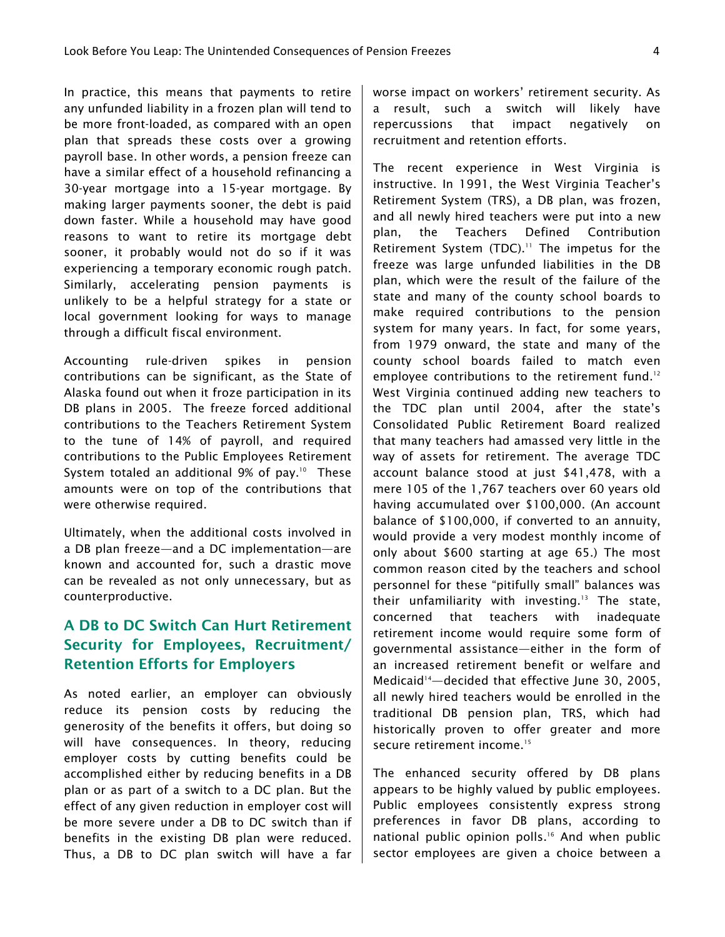In practice, this means that payments to retire any unfunded liability in a frozen plan will tend to be more front-loaded, as compared with an open plan that spreads these costs over a growing payroll base. In other words, a pension freeze can have a similar effect of a household refinancing a 30-year mortgage into a 15-year mortgage. By making larger payments sooner, the debt is paid down faster. While a household may have good reasons to want to retire its mortgage debt sooner, it probably would not do so if it was experiencing a temporary economic rough patch. Similarly, accelerating pension payments is unlikely to be a helpful strategy for a state or local government looking for ways to manage through a difficult fiscal environment.

Accounting rule-driven spikes in pension contributions can be significant, as the State of Alaska found out when it froze participation in its DB plans in 2005. The freeze forced additional contributions to the Teachers Retirement System to the tune of 14% of payroll, and required contributions to the Public Employees Retirement System totaled an additional 9% of pay.<sup>10</sup> These amounts were on top of the contributions that were otherwise required.

Ultimately, when the additional costs involved in a DB plan freeze—and a DC implementation—are known and accounted for, such a drastic move can be revealed as not only unnecessary, but as counterproductive.

# A DB to DC Switch Can Hurt Retirement Security for Employees, Recruitment/ Retention Efforts for Employers

As noted earlier, an employer can obviously reduce its pension costs by reducing the generosity of the benefits it offers, but doing so will have consequences. In theory, reducing employer costs by cutting benefits could be accomplished either by reducing benefits in a DB plan or as part of a switch to a DC plan. But the effect of any given reduction in employer cost will be more severe under a DB to DC switch than if benefits in the existing DB plan were reduced. Thus, a DB to DC plan switch will have a far worse impact on workers' retirement security. As a result, such a switch will likely have repercussions that impact negatively on recruitment and retention efforts.

The recent experience in West Virginia is instructive. In 1991, the West Virginia Teacher's Retirement System (TRS), a DB plan, was frozen, and all newly hired teachers were put into a new plan, the Teachers Defined Contribution Retirement System (TDC). $11$  The impetus for the freeze was large unfunded liabilities in the DB plan, which were the result of the failure of the state and many of the county school boards to make required contributions to the pension system for many years. In fact, for some years, from 1979 onward, the state and many of the county school boards failed to match even employee contributions to the retirement fund.<sup>12</sup> West Virginia continued adding new teachers to the TDC plan until 2004, after the state's Consolidated Public Retirement Board realized that many teachers had amassed very little in the way of assets for retirement. The average TDC account balance stood at just \$41,478, with a mere 105 of the 1,767 teachers over 60 years old having accumulated over \$100,000. (An account balance of \$100,000, if converted to an annuity, would provide a very modest monthly income of only about \$600 starting at age 65.) The most common reason cited by the teachers and school personnel for these "pitifully small" balances was their unfamiliarity with investing.<sup>13</sup> The state, concerned that teachers with inadequate retirement income would require some form of governmental assistance—either in the form of an increased retirement benefit or welfare and Medicaid<sup>14</sup>—decided that effective June 30, 2005, all newly hired teachers would be enrolled in the traditional DB pension plan, TRS, which had historically proven to offer greater and more secure retirement income.<sup>15</sup>

The enhanced security offered by DB plans appears to be highly valued by public employees. Public employees consistently express strong preferences in favor DB plans, according to national public opinion polls.<sup>16</sup> And when public sector employees are given a choice between a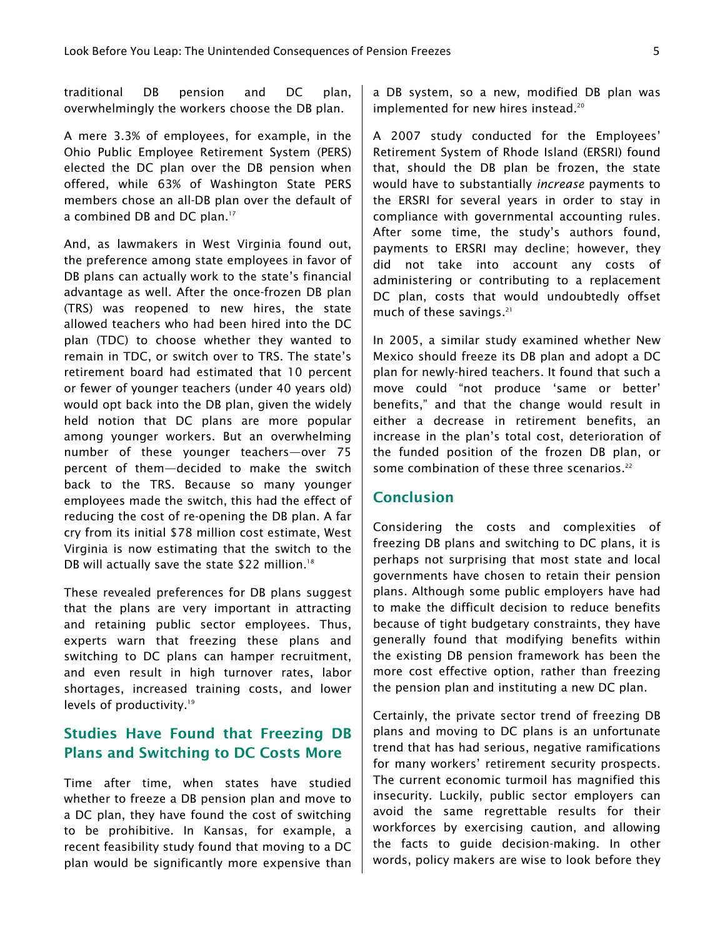traditional DB pension and DC plan, overwhelmingly the workers choose the DB plan.

A mere 3.3% of employees, for example, in the Ohio Public Employee Retirement System (PERS) elected the DC plan over the DB pension when offered, while 63% of Washington State PERS members chose an all-DB plan over the default of a combined DB and DC plan.<sup>17</sup>

And, as lawmakers in West Virginia found out, the preference among state employees in favor of DB plans can actually work to the state's financial advantage as well. After the once-frozen DB plan (TRS) was reopened to new hires, the state allowed teachers who had been hired into the DC plan (TDC) to choose whether they wanted to remain in TDC, or switch over to TRS. The state's retirement board had estimated that 10 percent or fewer of younger teachers (under 40 years old) would opt back into the DB plan, given the widely held notion that DC plans are more popular among younger workers. But an overwhelming number of these younger teachers—over 75 percent of them—decided to make the switch back to the TRS. Because so many younger employees made the switch, this had the effect of reducing the cost of re-opening the DB plan. A far cry from its initial \$78 million cost estimate, West Virginia is now estimating that the switch to the DB will actually save the state \$22 million.<sup>18</sup>

These revealed preferences for DB plans suggest that the plans are very important in attracting and retaining public sector employees. Thus, experts warn that freezing these plans and switching to DC plans can hamper recruitment, and even result in high turnover rates, labor shortages, increased training costs, and lower levels of productivity.<sup>19</sup>

## Studies Have Found that Freezing DB Plans and Switching to DC Costs More

Time after time, when states have studied whether to freeze a DB pension plan and move to a DC plan, they have found the cost of switching to be prohibitive. In Kansas, for example, a recent feasibility study found that moving to a DC plan would be significantly more expensive than a DB system, so a new, modified DB plan was implemented for new hires instead.<sup>20</sup>

A 2007 study conducted for the Employees' Retirement System of Rhode Island (ERSRI) found that, should the DB plan be frozen, the state would have to substantially *increase* payments to the ERSRI for several years in order to stay in compliance with governmental accounting rules. After some time, the study's authors found, payments to ERSRI may decline; however, they did not take into account any costs of administering or contributing to a replacement DC plan, costs that would undoubtedly offset much of these savings.<sup>21</sup>

In 2005, a similar study examined whether New Mexico should freeze its DB plan and adopt a DC plan for newly-hired teachers. It found that such a move could "not produce 'same or better' benefits," and that the change would result in either a decrease in retirement benefits, an increase in the plan's total cost, deterioration of the funded position of the frozen DB plan, or some combination of these three scenarios.<sup>22</sup>

#### Conclusion

Considering the costs and complexities of freezing DB plans and switching to DC plans, it is perhaps not surprising that most state and local governments have chosen to retain their pension plans. Although some public employers have had to make the difficult decision to reduce benefits because of tight budgetary constraints, they have generally found that modifying benefits within the existing DB pension framework has been the more cost effective option, rather than freezing the pension plan and instituting a new DC plan.

Certainly, the private sector trend of freezing DB plans and moving to DC plans is an unfortunate trend that has had serious, negative ramifications for many workers' retirement security prospects. The current economic turmoil has magnified this insecurity. Luckily, public sector employers can avoid the same regrettable results for their workforces by exercising caution, and allowing the facts to guide decision-making. In other words, policy makers are wise to look before they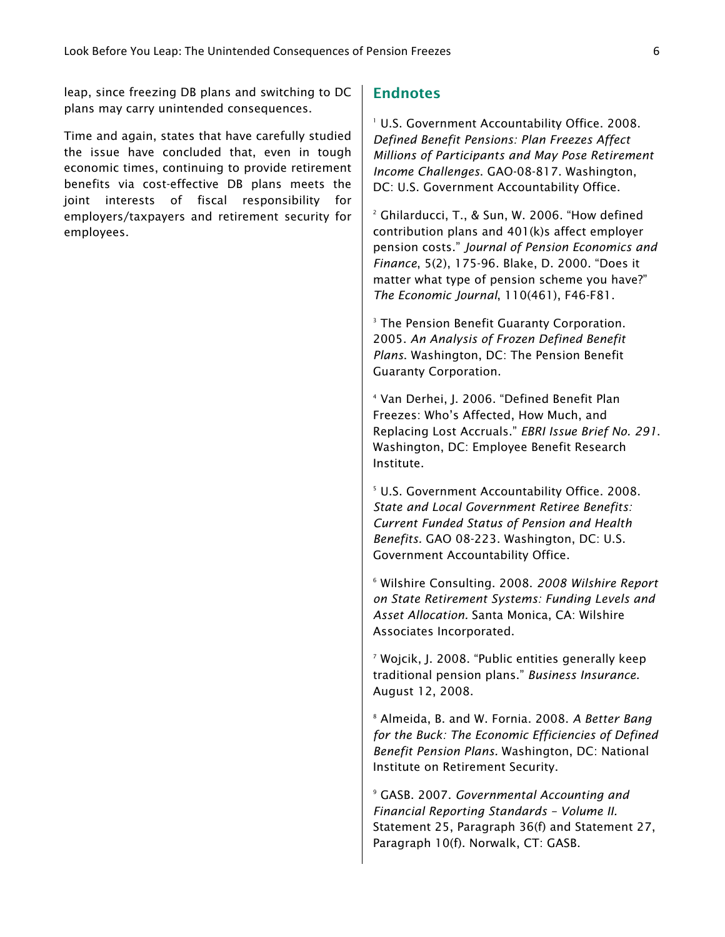leap, since freezing DB plans and switching to DC plans may carry unintended consequences.

Time and again, states that have carefully studied the issue have concluded that, even in tough economic times, continuing to provide retirement benefits via cost-effective DB plans meets the joint interests of fiscal responsibility for employers/taxpayers and retirement security for employees.

### **Endnotes**

1 U.S. Government Accountability Office. 2008. *Defined Benefit Pensions: Plan Freezes Affect Millions of Participants and May Pose Retirement Income Challenges*. GAO-08-817. Washington, DC: U.S. Government Accountability Office.

2 Ghilarducci, T., & Sun, W. 2006. "How defined contribution plans and 401(k)s affect employer pension costs." *Journal of Pension Economics and Finance*, 5(2), 175-96. Blake, D. 2000. "Does it matter what type of pension scheme you have?" *The Economic Journal*, 110(461), F46-F81.

3 The Pension Benefit Guaranty Corporation. 2005. *An Analysis of Frozen Defined Benefit Plans*. Washington, DC: The Pension Benefit Guaranty Corporation.

4 Van Derhei, J. 2006. "Defined Benefit Plan Freezes: Who's Affected, How Much, and Replacing Lost Accruals." *EBRI Issue Brief No. 291*. Washington, DC: Employee Benefit Research Institute.

5 U.S. Government Accountability Office. 2008. *State and Local Government Retiree Benefits: Current Funded Status of Pension and Health Benefits.* GAO 08-223. Washington, DC: U.S. Government Accountability Office.

6 Wilshire Consulting. 2008. *2008 Wilshire Report on State Retirement Systems: Funding Levels and Asset Allocation.* Santa Monica, CA: Wilshire Associates Incorporated.

7 Wojcik, J. 2008. "Public entities generally keep traditional pension plans." *Business Insurance.* August 12, 2008.

8 Almeida, B. and W. Fornia. 2008. *A Better Bang for the Buck: The Economic Efficiencies of Defined Benefit Pension Plans.* Washington, DC: National Institute on Retirement Security.

9 GASB. 2007. *Governmental Accounting and Financial Reporting Standards – Volume II.* Statement 25, Paragraph 36(f) and Statement 27, Paragraph 10(f). Norwalk, CT: GASB.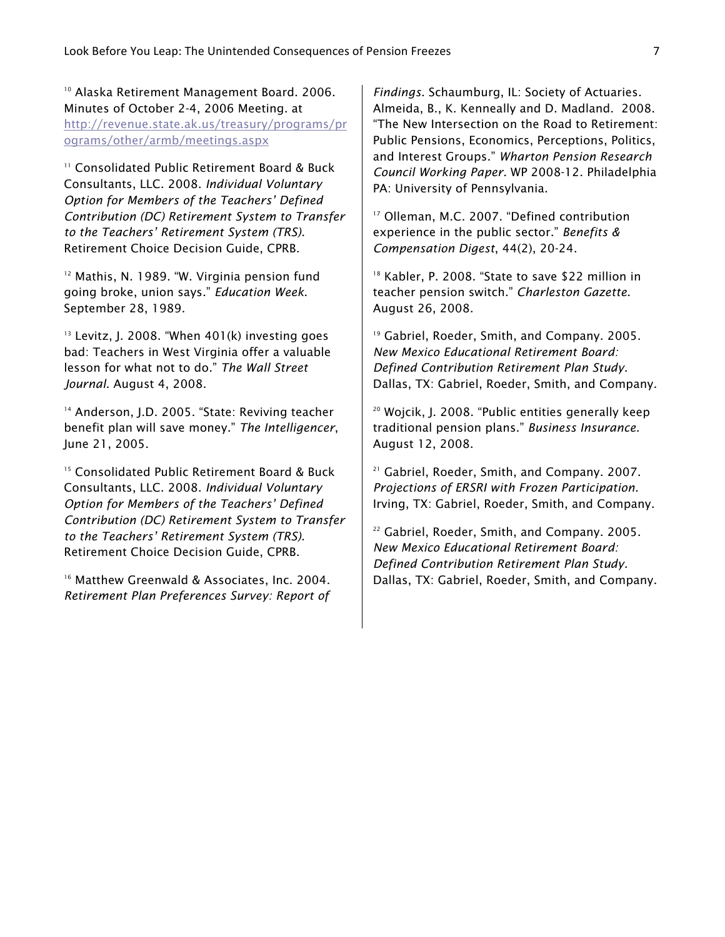10 Alaska Retirement Management Board. 2006. Minutes of October 2-4, 2006 Meeting. at http://revenue.state.ak.us/treasury/programs/pr ograms/other/armb/meetings.aspx

11 Consolidated Public Retirement Board & Buck Consultants, LLC. 2008. *Individual Voluntary Option for Members of the Teachers' Defined Contribution (DC) Retirement System to Transfer to the Teachers' Retirement System (TRS).* Retirement Choice Decision Guide, CPRB.

<sup>12</sup> Mathis, N. 1989. "W. Virginia pension fund going broke, union says." *Education Week*. September 28, 1989.

<sup>13</sup> Levitz, J. 2008. "When 401(k) investing goes bad: Teachers in West Virginia offer a valuable lesson for what not to do." *The Wall Street Journal*. August 4, 2008.

<sup>14</sup> Anderson, J.D. 2005. "State: Reviving teacher benefit plan will save money." *The Intelligencer*, June 21, 2005.

<sup>15</sup> Consolidated Public Retirement Board & Buck Consultants, LLC. 2008. *Individual Voluntary Option for Members of the Teachers' Defined Contribution (DC) Retirement System to Transfer to the Teachers' Retirement System (TRS)*. Retirement Choice Decision Guide, CPRB.

<sup>16</sup> Matthew Greenwald & Associates, Inc. 2004. *Retirement Plan Preferences Survey: Report of* 

*Findings.* Schaumburg, IL: Society of Actuaries. Almeida, B., K. Kenneally and D. Madland. 2008. "The New Intersection on the Road to Retirement: Public Pensions, Economics, Perceptions, Politics, and Interest Groups." *Wharton Pension Research Council Working Paper.* WP 2008-12. Philadelphia PA: University of Pennsylvania.

<sup>17</sup> Olleman, M.C. 2007. "Defined contribution experience in the public sector." *Benefits & Compensation Digest*, 44(2), 20-24.

<sup>18</sup> Kabler, P. 2008. "State to save \$22 million in teacher pension switch." *Charleston Gazette.* August 26, 2008.

19 Gabriel, Roeder, Smith, and Company. 2005. *New Mexico Educational Retirement Board: Defined Contribution Retirement Plan Study.* Dallas, TX: Gabriel, Roeder, Smith, and Company.

20 Wojcik, J. 2008. "Public entities generally keep traditional pension plans." *Business Insurance.* August 12, 2008.

21 Gabriel, Roeder, Smith, and Company. 2007. *Projections of ERSRI with Frozen Participation.* Irving, TX: Gabriel, Roeder, Smith, and Company.

<sup>22</sup> Gabriel, Roeder, Smith, and Company. 2005. *New Mexico Educational Retirement Board: Defined Contribution Retirement Plan Study.* Dallas, TX: Gabriel, Roeder, Smith, and Company.